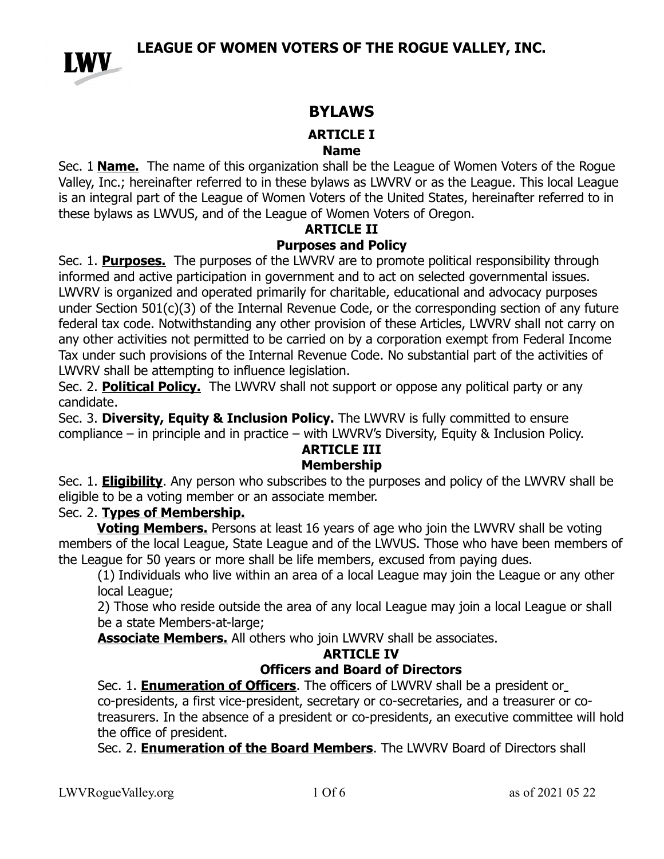

## **BYLAWS**

### **ARTICLE I**

#### **Name**

Sec. 1 **Name.** The name of this organization shall be the League of Women Voters of the Rogue Valley, Inc.; hereinafter referred to in these bylaws as LWVRV or as the League. This local League is an integral part of the League of Women Voters of the United States, hereinafter referred to in these bylaws as LWVUS, and of the League of Women Voters of Oregon.

# **ARTICLE II**

### **Purposes and Policy**

Sec. 1. **Purposes.** The purposes of the LWVRV are to promote political responsibility through informed and active participation in government and to act on selected governmental issues. LWVRV is organized and operated primarily for charitable, educational and advocacy purposes under Section 501(c)(3) of the Internal Revenue Code, or the corresponding section of any future federal tax code. Notwithstanding any other provision of these Articles, LWVRV shall not carry on any other activities not permitted to be carried on by a corporation exempt from Federal Income Tax under such provisions of the Internal Revenue Code. No substantial part of the activities of LWVRV shall be attempting to influence legislation.

Sec. 2. **Political Policy.** The LWVRV shall not support or oppose any political party or any candidate.

Sec. 3. **Diversity, Equity & Inclusion Policy.** The LWVRV is fully committed to ensure compliance – in principle and in practice – with LWVRV's Diversity, Equity & Inclusion Policy.

# **ARTICLE III**

### **Membership**

Sec. 1. **Eligibility**. Any person who subscribes to the purposes and policy of the LWVRV shall be eligible to be a voting member or an associate member.

### Sec. 2. **Types of Membership.**

**Voting Members.** Persons at least 16 years of age who join the LWVRV shall be voting members of the local League, State League and of the LWVUS. Those who have been members of the League for 50 years or more shall be life members, excused from paying dues.

(1) Individuals who live within an area of a local League may join the League or any other local League;

2) Those who reside outside the area of any local League may join a local League or shall be a state Members-at-large;

**Associate Members.** All others who join LWVRV shall be associates.

## **ARTICLE IV**

## **Officers and Board of Directors**

Sec. 1. **Enumeration of Officers**. The officers of LWVRV shall be a president or co-presidents, a first vice-president, secretary or co-secretaries, and a treasurer or cotreasurers. In the absence of a president or co-presidents, an executive committee will hold the office of president.

Sec. 2. **Enumeration of the Board Members**. The LWVRV Board of Directors shall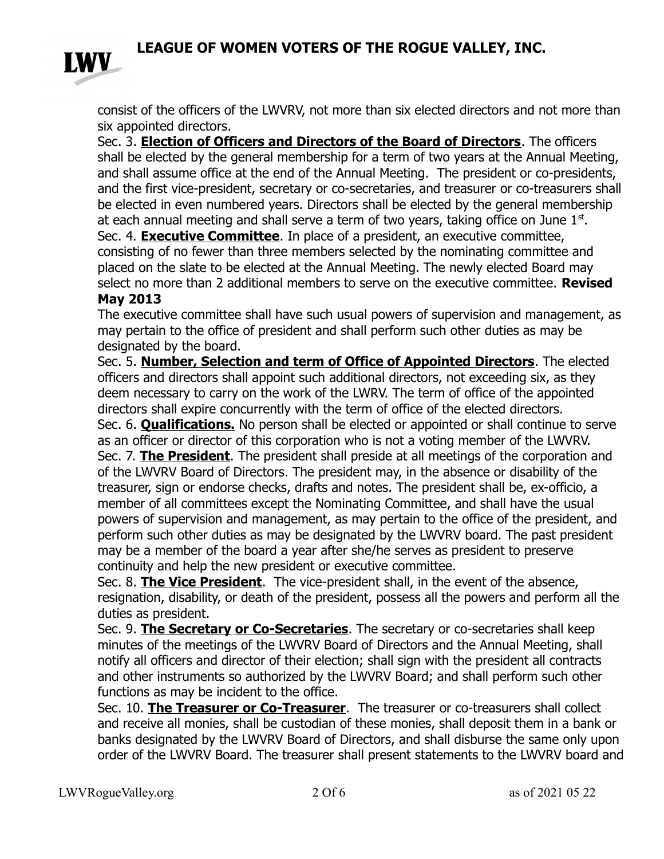

consist of the officers of the LWVRV, not more than six elected directors and not more than six appointed directors.

Sec. 3. **Election of Officers and Directors of the Board of Directors**. The officers shall be elected by the general membership for a term of two years at the Annual Meeting, and shall assume office at the end of the Annual Meeting. The president or co-presidents, and the first vice-president, secretary or co-secretaries, and treasurer or co-treasurers shall be elected in even numbered years. Directors shall be elected by the general membership at each annual meeting and shall serve a term of two years, taking office on June  $1<sup>st</sup>$ . Sec. 4. **Executive Committee**. In place of a president, an executive committee, consisting of no fewer than three members selected by the nominating committee and placed on the slate to be elected at the Annual Meeting. The newly elected Board may select no more than 2 additional members to serve on the executive committee. **Revised** 

### **May 2013**

The executive committee shall have such usual powers of supervision and management, as may pertain to the office of president and shall perform such other duties as may be designated by the board.

Sec. 5. **Number, Selection and term of Office of Appointed Directors**. The elected officers and directors shall appoint such additional directors, not exceeding six, as they deem necessary to carry on the work of the LWRV. The term of office of the appointed directors shall expire concurrently with the term of office of the elected directors. Sec. 6. **Qualifications.** No person shall be elected or appointed or shall continue to serve as an officer or director of this corporation who is not a voting member of the LWVRV. Sec. 7. **The President**. The president shall preside at all meetings of the corporation and of the LWVRV Board of Directors. The president may, in the absence or disability of the treasurer, sign or endorse checks, drafts and notes. The president shall be, ex-officio, a member of all committees except the Nominating Committee, and shall have the usual powers of supervision and management, as may pertain to the office of the president, and perform such other duties as may be designated by the LWVRV board. The past president may be a member of the board a year after she/he serves as president to preserve continuity and help the new president or executive committee.

Sec. 8. **The Vice President**. The vice-president shall, in the event of the absence, resignation, disability, or death of the president, possess all the powers and perform all the duties as president.

Sec. 9. **The Secretary or Co-Secretaries**. The secretary or co-secretaries shall keep minutes of the meetings of the LWVRV Board of Directors and the Annual Meeting, shall notify all officers and director of their election; shall sign with the president all contracts and other instruments so authorized by the LWVRV Board; and shall perform such other functions as may be incident to the office.

Sec. 10. **The Treasurer or Co-Treasurer**. The treasurer or co-treasurers shall collect and receive all monies, shall be custodian of these monies, shall deposit them in a bank or banks designated by the LWVRV Board of Directors, and shall disburse the same only upon order of the LWVRV Board. The treasurer shall present statements to the LWVRV board and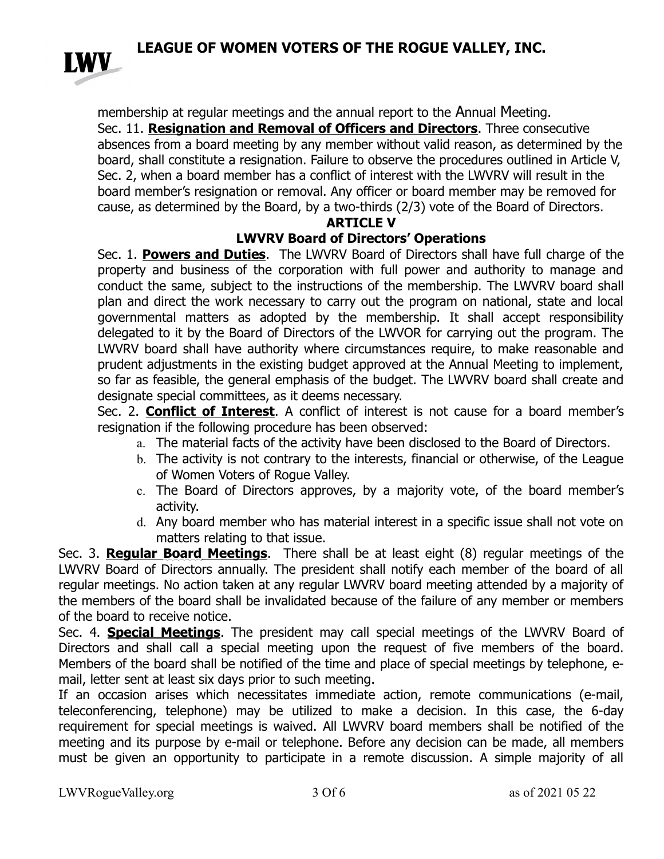

membership at regular meetings and the annual report to the Annual Meeting. Sec. 11. **Resignation and Removal of Officers and Directors**. Three consecutive absences from a board meeting by any member without valid reason, as determined by the board, shall constitute a resignation. Failure to observe the procedures outlined in Article V, Sec. 2, when a board member has a conflict of interest with the LWVRV will result in the board member's resignation or removal. Any officer or board member may be removed for cause, as determined by the Board, by a two-thirds (2/3) vote of the Board of Directors.

### **ARTICLE V**

### **LWVRV Board of Directors' Operations**

Sec. 1. **Powers and Duties**. The LWVRV Board of Directors shall have full charge of the property and business of the corporation with full power and authority to manage and conduct the same, subject to the instructions of the membership. The LWVRV board shall plan and direct the work necessary to carry out the program on national, state and local governmental matters as adopted by the membership. It shall accept responsibility delegated to it by the Board of Directors of the LWVOR for carrying out the program. The LWVRV board shall have authority where circumstances require, to make reasonable and prudent adjustments in the existing budget approved at the Annual Meeting to implement, so far as feasible, the general emphasis of the budget. The LWVRV board shall create and designate special committees, as it deems necessary.

Sec. 2. **Conflict of Interest**. A conflict of interest is not cause for a board member's resignation if the following procedure has been observed:

- a. The material facts of the activity have been disclosed to the Board of Directors.
- b. The activity is not contrary to the interests, financial or otherwise, of the League of Women Voters of Rogue Valley.
- c. The Board of Directors approves, by a majority vote, of the board member's activity.
- d. Any board member who has material interest in a specific issue shall not vote on matters relating to that issue.

Sec. 3. **Regular Board Meetings**. There shall be at least eight (8) regular meetings of the LWVRV Board of Directors annually. The president shall notify each member of the board of all regular meetings. No action taken at any regular LWVRV board meeting attended by a majority of the members of the board shall be invalidated because of the failure of any member or members of the board to receive notice.

Sec. 4. **Special Meetings**. The president may call special meetings of the LWVRV Board of Directors and shall call a special meeting upon the request of five members of the board. Members of the board shall be notified of the time and place of special meetings by telephone, email, letter sent at least six days prior to such meeting.

If an occasion arises which necessitates immediate action, remote communications (e-mail, teleconferencing, telephone) may be utilized to make a decision. In this case, the 6-day requirement for special meetings is waived. All LWVRV board members shall be notified of the meeting and its purpose by e-mail or telephone. Before any decision can be made, all members must be given an opportunity to participate in a remote discussion. A simple majority of all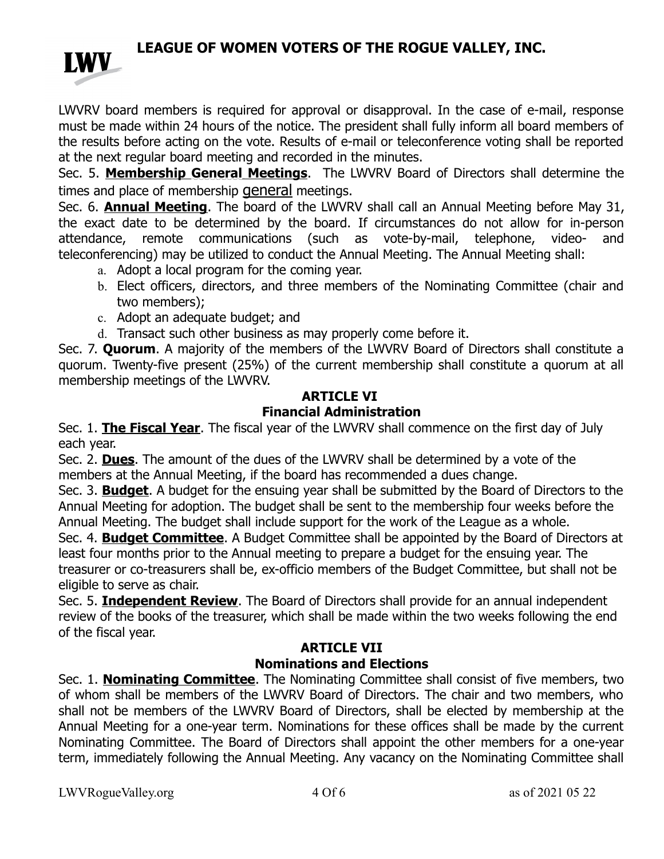

LWVRV board members is required for approval or disapproval. In the case of e-mail, response must be made within 24 hours of the notice. The president shall fully inform all board members of the results before acting on the vote. Results of e-mail or teleconference voting shall be reported at the next regular board meeting and recorded in the minutes.

Sec. 5. **Membership General Meetings**. The LWVRV Board of Directors shall determine the times and place of membership **general** meetings.

Sec. 6. **Annual Meeting**. The board of the LWVRV shall call an Annual Meeting before May 31, the exact date to be determined by the board. If circumstances do not allow for in-person attendance, remote communications (such as vote-by-mail, telephone, video- and teleconferencing) may be utilized to conduct the Annual Meeting. The Annual Meeting shall:

- a. Adopt a local program for the coming year.
- b. Elect officers, directors, and three members of the Nominating Committee (chair and two members);
- c. Adopt an adequate budget; and
- d. Transact such other business as may properly come before it.

Sec. 7. **Quorum**. A majority of the members of the LWVRV Board of Directors shall constitute a quorum. Twenty-five present (25%) of the current membership shall constitute a quorum at all membership meetings of the LWVRV.

## **ARTICLE VI**

## **Financial Administration**

Sec. 1. **The Fiscal Year**. The fiscal year of the LWVRV shall commence on the first day of July each year.

Sec. 2. **Dues**. The amount of the dues of the LWVRV shall be determined by a vote of the members at the Annual Meeting, if the board has recommended a dues change.

Sec. 3. **Budget**. A budget for the ensuing year shall be submitted by the Board of Directors to the Annual Meeting for adoption. The budget shall be sent to the membership four weeks before the Annual Meeting. The budget shall include support for the work of the League as a whole.

Sec. 4. **Budget Committee**. A Budget Committee shall be appointed by the Board of Directors at least four months prior to the Annual meeting to prepare a budget for the ensuing year. The treasurer or co-treasurers shall be, ex-officio members of the Budget Committee, but shall not be eligible to serve as chair.

Sec. 5. **Independent Review**. The Board of Directors shall provide for an annual independent review of the books of the treasurer, which shall be made within the two weeks following the end of the fiscal year.

## **ARTICLE VII**

### **Nominations and Elections**

Sec. 1. **Nominating Committee**. The Nominating Committee shall consist of five members, two of whom shall be members of the LWVRV Board of Directors. The chair and two members, who shall not be members of the LWVRV Board of Directors, shall be elected by membership at the Annual Meeting for a one-year term. Nominations for these offices shall be made by the current Nominating Committee. The Board of Directors shall appoint the other members for a one-year term, immediately following the Annual Meeting. Any vacancy on the Nominating Committee shall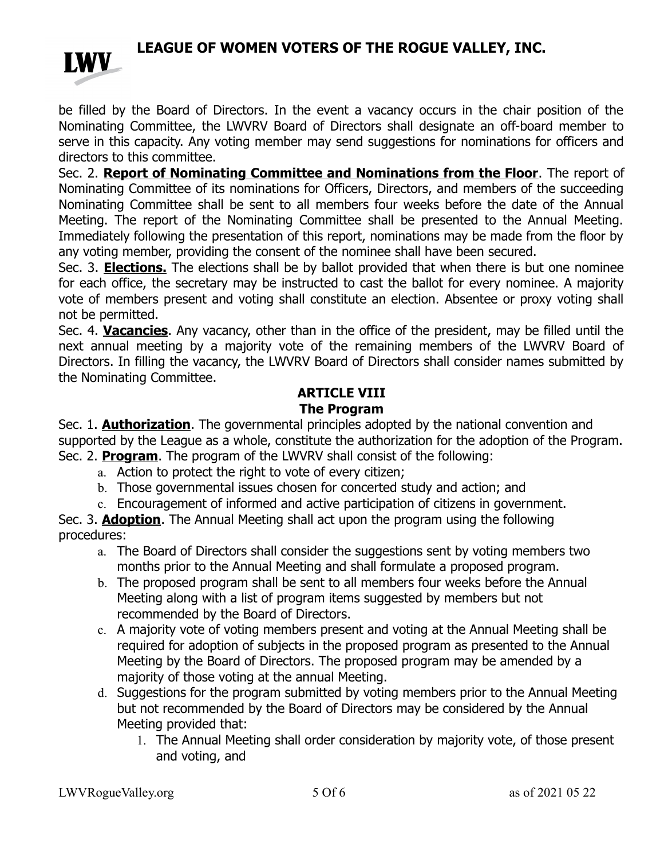

be filled by the Board of Directors. In the event a vacancy occurs in the chair position of the Nominating Committee, the LWVRV Board of Directors shall designate an off-board member to serve in this capacity. Any voting member may send suggestions for nominations for officers and directors to this committee.

Sec. 2. **Report of Nominating Committee and Nominations from the Floor**. The report of Nominating Committee of its nominations for Officers, Directors, and members of the succeeding Nominating Committee shall be sent to all members four weeks before the date of the Annual Meeting. The report of the Nominating Committee shall be presented to the Annual Meeting. Immediately following the presentation of this report, nominations may be made from the floor by any voting member, providing the consent of the nominee shall have been secured.

Sec. 3. **Elections.** The elections shall be by ballot provided that when there is but one nominee for each office, the secretary may be instructed to cast the ballot for every nominee. A majority vote of members present and voting shall constitute an election. Absentee or proxy voting shall not be permitted.

Sec. 4. **Vacancies**. Any vacancy, other than in the office of the president, may be filled until the next annual meeting by a majority vote of the remaining members of the LWVRV Board of Directors. In filling the vacancy, the LWVRV Board of Directors shall consider names submitted by the Nominating Committee.

#### **ARTICLE VIII The Program**

Sec. 1. **Authorization**. The governmental principles adopted by the national convention and supported by the League as a whole, constitute the authorization for the adoption of the Program. Sec. 2. **Program**. The program of the LWVRV shall consist of the following:

- a. Action to protect the right to vote of every citizen;
- b. Those governmental issues chosen for concerted study and action; and
- c. Encouragement of informed and active participation of citizens in government.

Sec. 3. **Adoption**. The Annual Meeting shall act upon the program using the following procedures:

- a. The Board of Directors shall consider the suggestions sent by voting members two months prior to the Annual Meeting and shall formulate a proposed program.
- b. The proposed program shall be sent to all members four weeks before the Annual Meeting along with a list of program items suggested by members but not recommended by the Board of Directors.
- c. A majority vote of voting members present and voting at the Annual Meeting shall be required for adoption of subjects in the proposed program as presented to the Annual Meeting by the Board of Directors. The proposed program may be amended by a majority of those voting at the annual Meeting.
- d. Suggestions for the program submitted by voting members prior to the Annual Meeting but not recommended by the Board of Directors may be considered by the Annual Meeting provided that:
	- 1. The Annual Meeting shall order consideration by majority vote, of those present and voting, and